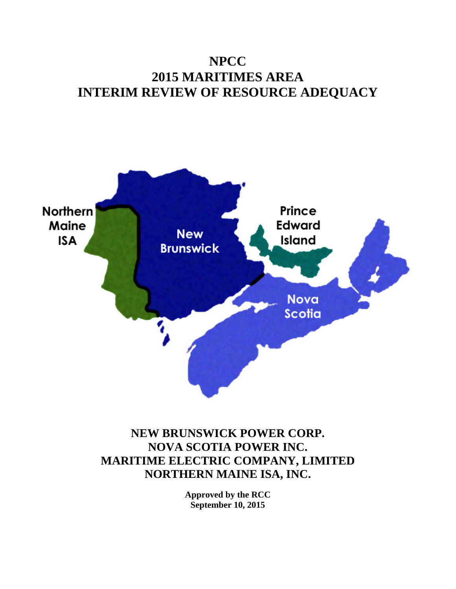# **NPCC 2015 MARITIMES AREA INTERIM REVIEW OF RESOURCE ADEQUACY**



## **NEW BRUNSWICK POWER CORP. NOVA SCOTIA POWER INC. MARITIME ELECTRIC COMPANY, LIMITED NORTHERN MAINE ISA, INC.**

**Approved by the RCC September 10, 2015**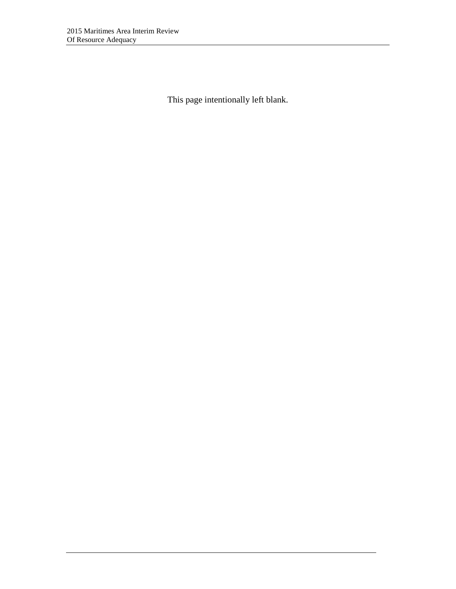This page intentionally left blank.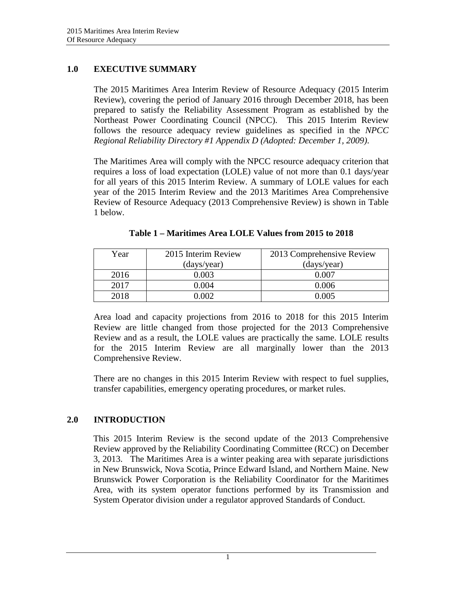## **1.0 EXECUTIVE SUMMARY**

The 2015 Maritimes Area Interim Review of Resource Adequacy (2015 Interim Review), covering the period of January 2016 through December 2018, has been prepared to satisfy the Reliability Assessment Program as established by the Northeast Power Coordinating Council (NPCC). This 2015 Interim Review follows the resource adequacy review guidelines as specified in the *NPCC Regional Reliability Directory #1 Appendix D (Adopted: December 1, 2009)*.

The Maritimes Area will comply with the NPCC resource adequacy criterion that requires a loss of load expectation (LOLE) value of not more than 0.1 days/year for all years of this 2015 Interim Review. A summary of LOLE values for each year of the 2015 Interim Review and the 2013 Maritimes Area Comprehensive Review of Resource Adequacy (2013 Comprehensive Review) is shown in Table 1 below.

| Year | 2015 Interim Review | 2013 Comprehensive Review |  |  |
|------|---------------------|---------------------------|--|--|
|      | (days/year)         | (days/year)               |  |  |
| 2016 | 0.003               | <u>a oos</u>              |  |  |
| 2017 | 0.004               | 0.006                     |  |  |
| 2018 | ) በበን               | ን በበ5                     |  |  |

**Table 1 – Maritimes Area LOLE Values from 2015 to 2018**

Area load and capacity projections from 2016 to 2018 for this 2015 Interim Review are little changed from those projected for the 2013 Comprehensive Review and as a result, the LOLE values are practically the same. LOLE results for the 2015 Interim Review are all marginally lower than the 2013 Comprehensive Review.

There are no changes in this 2015 Interim Review with respect to fuel supplies, transfer capabilities, emergency operating procedures, or market rules.

## **2.0 INTRODUCTION**

This 2015 Interim Review is the second update of the 2013 Comprehensive Review approved by the Reliability Coordinating Committee (RCC) on December 3, 2013. The Maritimes Area is a winter peaking area with separate jurisdictions in New Brunswick, Nova Scotia, Prince Edward Island, and Northern Maine. New Brunswick Power Corporation is the Reliability Coordinator for the Maritimes Area, with its system operator functions performed by its Transmission and System Operator division under a regulator approved Standards of Conduct.

1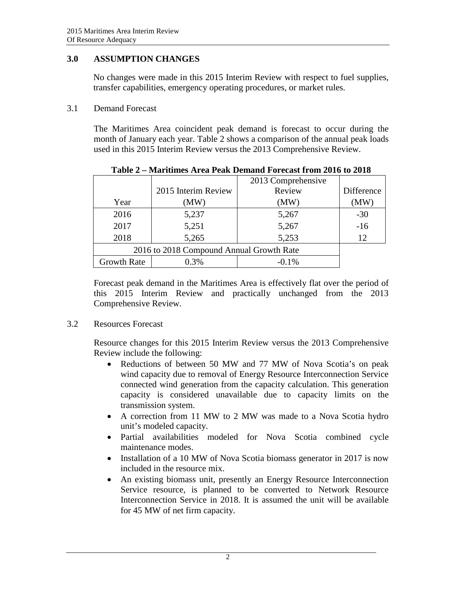## **3.0 ASSUMPTION CHANGES**

No changes were made in this 2015 Interim Review with respect to fuel supplies, transfer capabilities, emergency operating procedures, or market rules.

3.1 Demand Forecast

The Maritimes Area coincident peak demand is forecast to occur during the month of January each year. Table 2 shows a comparison of the annual peak loads used in this 2015 Interim Review versus the 2013 Comprehensive Review.

|                                          |                     | 2013 Comprehensive |            |
|------------------------------------------|---------------------|--------------------|------------|
|                                          | 2015 Interim Review | Review             | Difference |
| Year                                     | (MW)                | (MW)               | MW)        |
| 2016                                     | 5,237               | 5,267              | $-30$      |
| 2017                                     | 5,251               | 5,267              | $-16$      |
| 2018                                     | 5,265               | 5,253              | 12         |
| 2016 to 2018 Compound Annual Growth Rate |                     |                    |            |
| <b>Growth Rate</b>                       | 0.3%                | $-0.1%$            |            |

**Table 2 – Maritimes Area Peak Demand Forecast from 2016 to 2018**

Forecast peak demand in the Maritimes Area is effectively flat over the period of this 2015 Interim Review and practically unchanged from the 2013 Comprehensive Review.

3.2 Resources Forecast

Resource changes for this 2015 Interim Review versus the 2013 Comprehensive Review include the following:

- Reductions of between 50 MW and 77 MW of Nova Scotia's on peak wind capacity due to removal of Energy Resource Interconnection Service connected wind generation from the capacity calculation. This generation capacity is considered unavailable due to capacity limits on the transmission system.
- A correction from 11 MW to 2 MW was made to a Nova Scotia hydro unit's modeled capacity.
- Partial availabilities modeled for Nova Scotia combined cycle maintenance modes.
- Installation of a 10 MW of Nova Scotia biomass generator in 2017 is now included in the resource mix.
- An existing biomass unit, presently an Energy Resource Interconnection Service resource, is planned to be converted to Network Resource Interconnection Service in 2018. It is assumed the unit will be available for 45 MW of net firm capacity.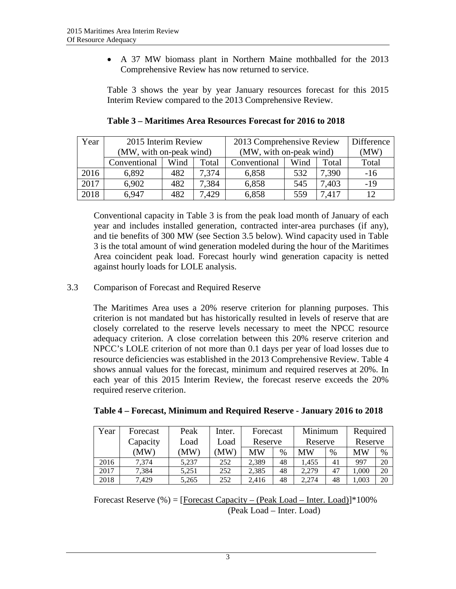• A 37 MW biomass plant in Northern Maine mothballed for the 2013 Comprehensive Review has now returned to service.

Table 3 shows the year by year January resources forecast for this 2015 Interim Review compared to the 2013 Comprehensive Review.

| Year | 2015 Interim Review     |      | 2013 Comprehensive Review |              |      | Difference |       |
|------|-------------------------|------|---------------------------|--------------|------|------------|-------|
|      | (MW, with on-peak wind) |      | (MW, with on-peak wind)   |              |      | (MW)       |       |
|      | Conventional            | Wind | Total                     | Conventional | Wind | Total      | Total |
| 2016 | 6,892                   | 482  | 7.374                     | 6,858        | 532  | 7,390      | $-16$ |
| 2017 | 6,902                   | 482  | 7,384                     | 6,858        | 545  | 7,403      | $-19$ |
| 2018 | 6,947                   | 482  | 7,429                     | 6,858        | 559  | 7,417      | 12    |

#### **Table 3 – Maritimes Area Resources Forecast for 2016 to 2018**

Conventional capacity in Table 3 is from the peak load month of January of each year and includes installed generation, contracted inter-area purchases (if any), and tie benefits of 300 MW (see Section 3.5 below). Wind capacity used in Table 3 is the total amount of wind generation modeled during the hour of the Maritimes Area coincident peak load. Forecast hourly wind generation capacity is netted against hourly loads for LOLE analysis.

#### 3.3 Comparison of Forecast and Required Reserve

The Maritimes Area uses a 20% reserve criterion for planning purposes. This criterion is not mandated but has historically resulted in levels of reserve that are closely correlated to the reserve levels necessary to meet the NPCC resource adequacy criterion. A close correlation between this 20% reserve criterion and NPCC's LOLE criterion of not more than 0.1 days per year of load losses due to resource deficiencies was established in the 2013 Comprehensive Review. Table 4 shows annual values for the forecast, minimum and required reserves at 20%. In each year of this 2015 Interim Review, the forecast reserve exceeds the 20% required reserve criterion.

| Table 4 – Forecast, Minimum and Required Reserve - January 2016 to 2018 |  |  |  |
|-------------------------------------------------------------------------|--|--|--|
|                                                                         |  |  |  |

| Year | Forecast               | Peak                   | Inter. | Forecast |      | Minimum |      | Required |    |
|------|------------------------|------------------------|--------|----------|------|---------|------|----------|----|
|      | Capacity               | Load                   | Load   | Reserve  |      | Reserve |      | Reserve  |    |
|      | $\mathbf{M}\mathbf{W}$ | $\mathbf{M}\mathbf{W}$ | MW     | MW       | $\%$ | MW      | $\%$ | MW       | %  |
| 2016 | 7.374                  | 5.237                  | 252    | 2.389    | 48   | 1.455   | 41   | 997      | 20 |
| 2017 | 7.384                  | 5,251                  | 252    | 2,385    | 48   | 2.279   | 47   | 1.000    | 20 |
| 2018 | 7.429                  | 5,265                  | 252    | 2.416    | 48   | 2.274   | 48   | 1.003    | 20 |

Forecast Reserve  $(\%)$  = [Forecast Capacity – (Peak Load – Inter. Load)]\*100% (Peak Load – Inter. Load)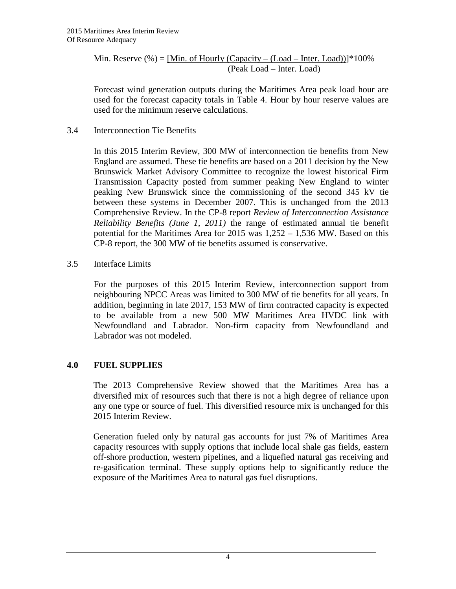Min. Reserve (%) = [Min. of Hourly (Capacity –  $(Load - Inter. Load))$ <sup>\*</sup>100% (Peak Load – Inter. Load)

Forecast wind generation outputs during the Maritimes Area peak load hour are used for the forecast capacity totals in Table 4. Hour by hour reserve values are used for the minimum reserve calculations.

3.4 Interconnection Tie Benefits

In this 2015 Interim Review, 300 MW of interconnection tie benefits from New England are assumed. These tie benefits are based on a 2011 decision by the New Brunswick Market Advisory Committee to recognize the lowest historical Firm Transmission Capacity posted from summer peaking New England to winter peaking New Brunswick since the commissioning of the second 345 kV tie between these systems in December 2007. This is unchanged from the 2013 Comprehensive Review. In the CP-8 report *Review of Interconnection Assistance Reliability Benefits (June 1, 2011)* the range of estimated annual tie benefit potential for the Maritimes Area for 2015 was 1,252 – 1,536 MW. Based on this CP-8 report, the 300 MW of tie benefits assumed is conservative.

3.5 Interface Limits

For the purposes of this 2015 Interim Review, interconnection support from neighbouring NPCC Areas was limited to 300 MW of tie benefits for all years. In addition, beginning in late 2017, 153 MW of firm contracted capacity is expected to be available from a new 500 MW Maritimes Area HVDC link with Newfoundland and Labrador. Non-firm capacity from Newfoundland and Labrador was not modeled.

## **4.0 FUEL SUPPLIES**

The 2013 Comprehensive Review showed that the Maritimes Area has a diversified mix of resources such that there is not a high degree of reliance upon any one type or source of fuel. This diversified resource mix is unchanged for this 2015 Interim Review.

Generation fueled only by natural gas accounts for just 7% of Maritimes Area capacity resources with supply options that include local shale gas fields, eastern off-shore production, western pipelines, and a liquefied natural gas receiving and re-gasification terminal. These supply options help to significantly reduce the exposure of the Maritimes Area to natural gas fuel disruptions.